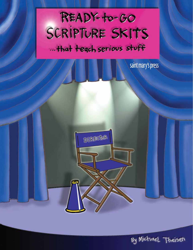## READY-to-GO SCRIPTURE SKITS ... that teach serious stuff

DIRECTOR

saint mary's press

By Michael Theisen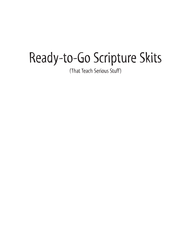## Ready-to-Go Scripture Skits

(That Teach Serious Stuff)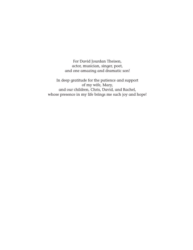For David Jourdan Theisen, actor, musician, singer, poet, and one amazing and dramatic son!

In deep gratitude for the patience and support of my wife, Mary, and our children, Chris, David, and Rachel, whose presence in my life brings me such joy and hope!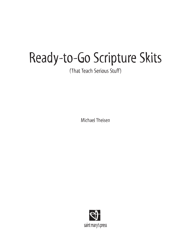# Ready-to-Go Scripture Skits

(That Teach Serious Stuff)

Michael Theisen

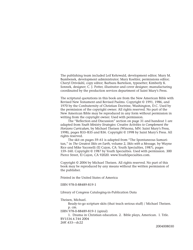The publishing team included Leif Kehrwald, development editor; Mary M. Bambenek, development administrator; Mary Koehler, permissions editor; Cheryl Drivdahl, copy editor; Barbara Bartelson, typesetter; Kimberly K. Sonnek, designer; C. J. Potter, illustrator and cover designer; manufacturing coordinated by the production services department of Saint Mary's Press.

The scriptural quotations in this book are from the New American Bible with Revised New Testament and Revised Psalms. Copyright © 1991, 1986, and 1970 by the Confraternity of Christian Doctrine, Washington, D.C. Used by the permission of the copyright owner. All rights reserved. No part of the New American Bible may be reproduced in any form without permission in writing from the copyright owner. Used with permission.

The "Reflection and Discussion" section on page 31 and handout 1 are adapted from Youth Ministry Strategies: Creative Activities to Complement the Horizons Curriculum, by Michael Theisen (Winona, MN: Saint Mary's Press, 1998), pages B33–B35 and B36. Copyright © 1998 by Saint Mary's Press. All rights reserved.

The skit on pages 59–61 is adapted from "The Spontaneous Samaritan," in The Greatest Skits on Earth, volume 2, Skits with a Message, by Wayne Rice and Mike Yaconelli (El Cajon, CA: Youth Specialties, 1987), pages 159–160. Copyright © 1987 by Youth Specialties. Used with permission. 300 Pierce Street, El Cajon, CA 92020. www.YouthSpecialties.com.

Copyright © 2004 by Michael Theisen. All rights reserved. No part of this book may be reproduced by any means without the written permission of the publisher.

Printed in the United States of America

ISBN 978-0-88489-819-1

Library of Congress Cataloging-in-Publication Data

Theisen, Michael.

Ready-to-go scripture skits (that teach serious stuff) / Michael Theisen. p. cm.

ISBN 978-0-88489-819-1 (spiral)

1. Drama in Christian education. 2. Bible plays, American. I. Title. BV1534.4.T44 2004 268'.433—dc22

2004008030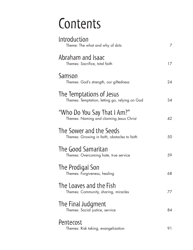# **Contents**

| Introduction<br>Theme: The what and why of skits                           | 7  |
|----------------------------------------------------------------------------|----|
| Abraham and Isaac<br>Themes: Sacrifice, total faith                        | 17 |
| Samson<br>Themes: God's strength, our giftedness                           | 24 |
| The Temptations of Jesus<br>Themes: Temptation, letting go, relying on God | 34 |
| "Who Do You Say That I Am?"<br>Themes: Naming and claiming Jesus Christ    | 42 |
| The Sower and the Seeds<br>Themes: Growing in faith, obstacles to faith    | 50 |
| The Good Samaritan<br>Themes: Overcoming hate, true service                | 59 |
| The Prodigal Son<br>Themes: Forgiveness, healing                           | 68 |
| The Loaves and the Fish<br>Themes: Community, sharing, miracles            | 77 |
| The Final Judgment<br>Themes: Social justice, service                      | 84 |
| Pentecost<br>Themes: Risk taking, evangelization                           | 91 |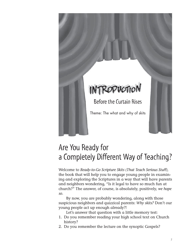

## Are You Ready for a Completely Different Way of Teaching?

Welcome to *Ready-to-Go Scripture Skits (That Teach Serious Stuff),* the book that will help you to engage young people in examining and exploring the Scriptures in a way that will have parents and neighbors wondering, "Is it legal to have so much fun at church?" The answer, of course, is absolutely, positively, *we hope so.*

By now, you are probably wondering, along with those suspicious neighbors and quizzical parents: *Why skits?* Don't our young people act up enough already?!

Let's answer that question with a little memory test:

- 1. Do you remember reading your high school text on Church history?
- 2. Do you remember the lecture on the synoptic Gospels?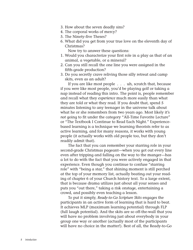- 3. How about the seven deadly sins?
- 4. The corporal works of mercy?
- 5. The Ninety-five Theses?
- 6. What did you get from your true love on the eleventh day of Christmas?

Now try to answer these questions:

- 1. Would you characterize your first role in a play as that of an animal, a vegetable, or a mineral?
- 2. Can you still recall the one line you were assigned in the fifth-grade production?
- 3. Do you secretly crave reliving those silly retreat and camp skits, even as an adult?

If you are like most people . . . uh, scratch that, because if you *were* like most people, you'd be playing golf or taking a nap instead of reading this intro. The point is, people remember and recall what they *experience* much more easily than what they are told or what they read. If you doubt that, spend 5 minutes listening to any teenager in the universe talk about what he or she remembers from two years ago. Most likely it's *not* going to fit under the category "All-Time Favorite Lecture" or "The Textbook I Continue to Read Each Night." Experiencebased learning is a technique we learning theorists refer to as active learning, and for many reasons, it works with young people (it actually works with old people too, but they don't readily admit that).

The fact that you can remember your starring role in your second-grade Christmas pageant—when you got out every line even after tripping and falling on the way to the manger—has a lot to do with the fact that you were actively engaged in that experience. Even though you continue to confuse "starring role" with "being a star," that shining moment is still perched at the top of your memory list, actually beating out your reading of chapter 6 of your Church history text. To a large extent, that is because drama utilizes just about all your senses and puts you "out there," taking a risk onstage, entertaining a crowd, and possibly even teaching a lesson.

To put it simply, *Ready-to-Go Scripture Skits* engages the participants in an active form of learning that is hard to beat. It achieves MLP (maximum learning potential) through FLP (full laugh potential). And the skits are so off-the-wall that you will have no problem involving just about everybody in your group one way or another (actually most of the participants will have no choice in the matter!). Best of all, the Ready-to-Go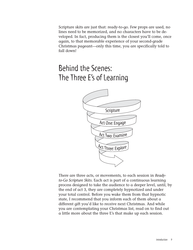Scripture skits are just that: ready-to-go. Few props are used, no lines need to be memorized, and no characters have to be developed. In fact, producing them is the closest you'll come, once again, to that memorable experience of your second-grade Christmas pageant—only this time, you are specifically told to fall down!

### Behind the Scenes: The Three E's of Learning



There are three acts, or movements, to each session in *Readyto-Go Scripture Skits.* Each act is part of a continuous learning process designed to take the audience to a deeper level, until, by the end of act 3, they are completely hypnotized and under your total control. Before you wake them from that hypnotic state, I recommend that you inform each of them about a different gift you'd like to receive next Christmas. And while you are contemplating your Christmas list, read on to find out a little more about the three E's that make up each session.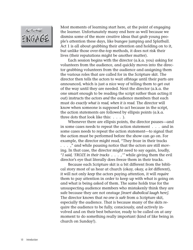

Most moments of learning start here, at the point of engaging the learner. Unfortunately many end here as well because we dismiss some of the more creative ideas that grab young people's attention these days, like bungee jumping and Splatball. Act 1 is all about grabbing their attention and holding on to it, but unlike those over-the-top methods, it does not risk their lives (their reputations might be another matter).

Each session begins with the director (a.k.a. you) asking for volunteers from the audience, and quickly moves into the director grabbing volunteers from the audience and assigning them the various roles that are called for in the Scripture skit. The director then tells the actors to wait offstage until their parts are announced, which is just a nice way of telling them to get out of the way until they are needed. Next the director (a.k.a. the one smart enough to be reading the script rather than acting it out) instructs the actors *and* the audience members that each must do *exactly what is read, when it is read.* The director will know when someone is supposed to act because in the script, the action statements are followed by ellipsis points (a.k.a. three dots that look like this:  $\ldots$  ).

Whenever there are ellipsis points, the director pauses—and in some cases needs to repeat the action statement . . . and in some cases needs to repeat the action statement—to signal that the action must be performed before the show can go on. For example, the director might read, "They froze in their tracks . . . ," and while pausing notice that the actors are still moving. In that case, the director might need to say again, loudly, *"I said, 'FROZE in their tracks . . . ,'"* while giving them the evil director's eye that literally does freeze them in their tracks.

Because each Scripture skit is a bit different from the biblical story most of us hear at church (okay, okay, *a lot* different), it will not only *keep* the actors paying attention, it will *require* them to pay attention in order to keep up with what is going on and what is being asked of them. The same holds true for the unsuspecting audience members who mistakenly think they are safe because they are not onstage *[insert diabolical laugh here].* The director knows that *no one is safe* from a Scripture skit, especially the audience. That is because many of the skits require the audience to be fully, consciously, and actively involved and on their best behavior, ready to be called on at any moment to do something really important (kind of like being in church on Sunday!).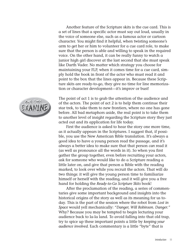Another feature of the Scripture skits is the cue card. This is a set of lines that a specific actor must say out loud, usually in the voice of someone else, such as a famous actor or cartoon character. You might find it helpful, when twisting someone's arm to get her or him to volunteer for a cue card role, to make sure that the person is able and willing to speak in the required voice. On the other hand, it can be really funny to watch a junior high girl discover at the last second that she must speak like Darth Vader. No matter which strategy you choose for maintaining your FLP, when it comes time for a cue card, simply hold the book in front of the actor who must read it and point to the box that the lines appear in. Because these Scripture skits are ready-to-go, they give no time for line memorization or character development—it's improv or bust!



The point of act 1 is to grab the attention of the audience and of the actors. The point of act 2 is to help them continue their star trek, to take them to new frontiers, where no one has gone before. All bad metaphors aside, the real point is to take them to another level of insight regarding the Scripture story they just acted out and its application for life today.

First the audience is asked to hear the story one more time, as it actually appears in the Scriptures. I suggest that, if possible, you use the New American Bible translation. It's always a good idea to have a young person read the passage, and it's always a better idea to make sure that that person *can* read it (as well as pronounce all the words in it). So when you first gather the group together, even before recruiting your actors, ask for someone who would like to do a Scripture reading a little later on, and give that person a Bible with the reading marked, to look over while you recruit the actors. That will do two things: it will give the young person time to familiarize himself or herself with the reading, and it will give you a free hand for holding the *Ready-to-Go Scripture Skits* book!

After the proclamation of the reading, a series of commentaries give some important background and insights into the historical origins of the story as well as its meaning for us today. This is the part of the session where the robot from *Lost in Space* would yell mechanically: *"Danger, Will Robinson. Danger."* Why? Because you may be tempted to begin lecturing your audience back to la-la land. To avoid falling into that old trap, try to spice up these important points a little by *keeping your audience involved.* Each commentary is a little "byte" that is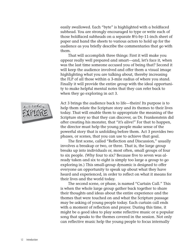easily swallowed. Each "byte" is highlighted with a boldfaced subhead. You are strongly encouraged to type or write each of those boldfaced subheads on a separate 8½-by-11-inch sheet of paper and hand the sheets to various actors to hold up for the audience as you briefly describe the commentaries that go with them.

That will accomplish three things: First it will make you appear really well prepared and smart—and, let's face it, when was the last time someone accused you of being that? Second it will keep the audience involved and offer them a visual image highlighting what you are talking about, thereby increasing the FLP of all those within a 3-mile radius of where you stand. Finally it will provide the entire group with the ideal opportunity to make helpful mental notes that they can refer back to when they go exploring in act 3.



Act 3 brings the audience back to life—theirs! Its purpose is to help them relate the Scripture story and its themes to their lives today. That will enable them to appropriate the meaning of the Scripture story so that they can discover, as Dr. Frankenstein did after creating his monster, that "it's alive!" For that to happen, the director must help the young people make sense of the powerful story that is unfolding before them. Act 3 provides two phases, or scenes, that you can use to achieve that goal.

The first scene, called "Reflection and Discussion," usually involves a breakup or two, or three. That is, the large group breaks up into individuals or, most often, small groups of four to six people. (Why four to six? Because five to seven was already taken and six to eight is simply too large a group to go exploring in.) This small-group dynamic is designed to offer everyone an opportunity to speak up about what they have heard and experienced, in order to reflect on what it means for their lives and the world today.

The second scene, or phase, is named "Curtain Call." This is when the whole large group gather back together to share their thoughts and ideas about the entire experience and the themes that were touched on and what the Scripture passage may be asking of young people today. Each curtain call ends with a moment of reflection and prayer. During this time, it might be a good idea to play some reflective music or a popular song that speaks to the themes covered in the session. Not only can reflective music help the young people to focus internally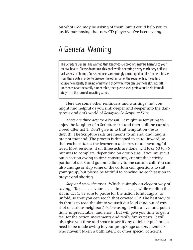on what God may be asking of them, but it could help you to justify purchasing that new CD player you've been eyeing.

### A General Warning

The Scripture General has warned that Ready-to-Go products may be harmful to your mental health. Please do not use this book while operating heavy machinery or if you lack a sense of humor. Consistent users are strongly encouraged to take frequent breaks from these skits in order to discover the other half of the secret of life. If you find yourself constantly thinking of new and tricky ways you can use these skits at staff luncheons or at the family dinner table, then please seek professional help immediately—in the form of an acting career.

Here are some other reminders and warnings that you might find helpful as you sink deeper and deeper into the dangerous and dark world of *Ready-to-Go Scripture Skits:*

*There are three acts for a reason.* It might be tempting to enjoy the laughter of a Scripture skit and then pull the curtain closed after act 1. Don't give in to that temptation (Jesus didn't!). The Scripture skits are means to an end, and laughs are not that end. The process is designed to spiral inward, so that each act takes the learner to a deeper, more meaningful level. Most sessions, if all three acts are done, will take 60 to 75 minutes to complete, depending on group size. If you must cut out a section owing to time constraints, cut out the activity portion of act 3 and go immediately to the curtain call. You can also change or skip some of the curtain call questions to suit your group, but please be faithful to concluding each session in prayer and sharing.

*Stop and smell the roses.* Which is simply an elegant way of saying, "Take . . . your . . . time . . . ," while reading the skit in act 1. Be sure to pause for the action (and laughs) to unfold, so that you can reach that coveted FLP. The best way to do that is to read the skit to yourself out loud (and out of earshot of curious neighbors) *before* using it with a live, and potentially unpredictable, audience. That will give you time to get a feel for the action movements and really funny parts. It will also give you time and space to see if any quick script changes need to be made owing to your group's age or size, members who haven't taken a bath lately, or other special concerns.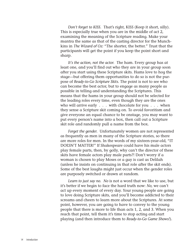*Don't forget to KISS.* That's right, KISS (Keep it short, silly). This is especially true when you are in the middle of act 2, examining the meaning of the Scripture reading. Make your mantra the same as that of the casting director for the Munchkins in *The Wizard of Oz:* "The shorter, the better." Trust that the participants will get the point if you keep the point short and sharp.

*It's the action, not the actor.* The ham. Every group has at least one, and you'll find out who they are in your group soon after you start using these Scripture skits. Hams love to hog the stage—but offering them opportunities to do so is not the purpose of *Ready-to-Go Scripture Skits.* The point is not to see who can become the best actor, but to engage as many people as possible in telling and understanding the Scriptures. This means that the hams in your group should not be selected for the leading roles every time, even though they are the ones who will arrive early . . . with chocolate for you . . . when they sense a Scripture skit coming on. To avoid favoritism and give everyone an equal chance to be onstage, you may want to put every person's name into a box, then call out a Scripture skit role and randomly pull a name from the box.

*Forget the gender.* Unfortunately women are not represented as frequently as men in many of the Scripture stories, so there are more roles for men. In the words of my sixteen-year-old, "IT DOESN'T MATTER!" If Shakespeare could have his male actors play female parts, then, by golly, why can't the director of these skits have female actors play male parts?! Don't worry if a woman is chosen to play Moses or a guy is cast as Delilah (unless he insists on continuing in that role after the skit ends). Some of the best laughs might just occur when the gender roles are purposely switched or drawn at random.

*Learn to just say no. No* is not a word that we like to use, but it's better if we begin to face the hard truth now: *No,* we can't act up every moment of every day. Your young people are going to love doing Scripture skits, and you'll become addicted to their screams and cheers to learn more about the Scriptures. At some point, however, you are going to have to convey to the young people that there is more to life than acts 1, 2, and 3. When you reach that point, tell them it's time to stop acting and start playing (and then introduce them to *Ready-to-Go Game Shows!*).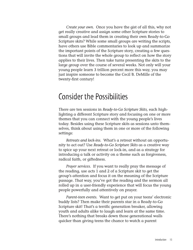*Create your own.* Once you have the gist of all this, why not get really creative and assign some other Scripture stories to small groups and lead them in creating their own Ready-to-Go Scripture skits? While some small groups are writing the scripts, have others use Bible commentaries to look up and summarize the important points of the Scripture story, creating a few questions that will invite the whole group to reflect on how the story applies to their lives. Then take turns presenting the skits to the large group over the course of several weeks. Not only will your young people learn 3 trillion percent more this way, you may just inspire someone to become the Cecil B. DeMille of the twenty-first century!

### Consider the Possibilities

There are ten sessions in *Ready-to-Go Scripture Skits,* each highlighting a different Scripture story and focusing on one or more themes that you can connect with the young people's lives today. Besides using these Scripture skits as sessions unto themselves, think about using them in one or more of the following settings:

*Retreats and lock-ins.* What's a retreat without an opportunity to act out? Use *Ready-to-Go Scripture Skits* as a creative way to spice up your next retreat or lock-in, and as a strategy for introducing a talk or activity on a theme such as forgiveness, radical faith, or giftedness.

*Prayer services.* If you want to really pray the message of the reading, use acts 1 and 2 of a Scripture skit to get the group's attention and focus it on the meaning of the Scripture passage. That way, you've got the reading and the sermon all rolled up in a user-friendly experience that will focus the young people powerfully and attentively on prayer.

*Parent-teen events.* Want to get put on your teens' electronic buddy lists? Then make their parents star in a Ready-to-Go Scripture skit! That's a terrific generation breaker, allowing youth and adults alike to laugh and learn at the same time. There's nothing that breaks down those generational walls quicker than giving teens the chance to watch a parent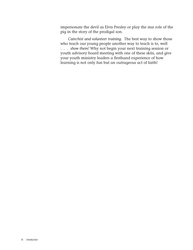impersonate the devil as Elvis Presley or play the star role of the pig in the story of the prodigal son.

*Catechist and volunteer training.* The best way to show those who teach our young people another way to teach is to, well . . . *show them!* Why not begin your next training session or youth advisory board meeting with one of these skits, and give your youth ministry leaders a firsthand experience of how learning is not only fun but an outrageous act of faith!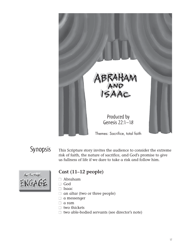

### Synopsis

This Scripture story invites the audience to consider the extreme risk of faith, the nature of sacrifice, and God's promise to give us fullness of life if we dare to take a risk and follow him.



#### **Cast (11–12 people)**

- Abraham
- God
- □ Isaac
- $\Box$  an altar (two or three people)
- $\Box$  a messenger
- □ a ram
- $\Box$  two thickets
- $\Box$  two able-bodied servants (see director's note)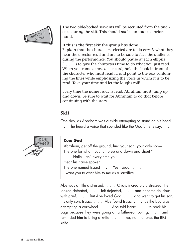

The two able-bodied servants will be recruited from the audience during the skit. This should *not* be announced beforehand.

**If this is the first skit the group has done . . .** Explain that the characters selected are to do *exactly* what they hear the director read and are to be sure to face the audience during the performance. You should pause at each ellipsis  $( \ldots )$  to give the characters time to do what you just read. When you come across a cue card, hold the book in front of the character who must read it, and point to the box containing the lines while emphasizing the voice in which it is to be read. Take your time and let the laughs roll!

Every time the name Isaac is read, Abraham must jump up and down. Be sure to wait for Abraham to do that before continuing with the story.

#### **Skit**

One day, as Abraham was outside attempting to stand on his head, . . . he heard a voice that sounded like the Godfather's say: . . .



#### **Cue: God**

Abraham, get off the ground, find your son, your only son— The one for whom you jump up and down and shout " Hallelujah" every time you Hear his name spoken. The one named Isaac! . . . Yes, Isaac! . . . I want you to offer him to me as a sacrifice.

Abe was a little distressed. . . . Okay, incredibly distressed. He looked defeated, . . . felt dejected, . . . and became delirious with grief. . . . But Abe loved God . . . and went to get his son, his only son, Isaac. . . . Abe found Isaac . . . as the boy was attempting a cartwheel. . . . Abe told Isaac . . . to pack his bags because they were going on a father-son outing, . . . and reminded him to bring a knife  $\ldots$   $-$  no, not that one, the BIG knife! . . .